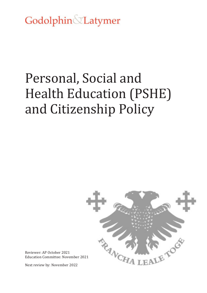Godolphin Latymer

# Personal, Social and Health Education (PSHE) and Citizenship Policy



Reviewer: AP October 2021 Education Committee: November 2021

Next review by: November 2022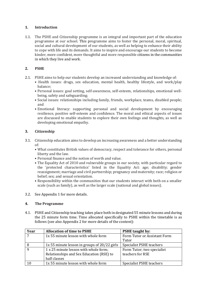#### **1. Introduction**

1.1. The PSHE and Citizenship programme is an integral and important part of the education programme at our school. This programme aims to foster the personal, moral, spiritual, social and cultural development of our students, as well as helping to enhance their ability to cope with life and its demands. It aims to inspire and encourage our students to become kinder, more confident, more thoughtful and more responsible citizens in the communities in which they live and work.

#### **2. PSHE**

- 2.1. PSHE aims to help our students develop an increased understanding and knowledge of:
	- Health issues: drugs, sex education, mental health, healthy lifestyle, and work/play balance;
	- Personal issues: goal setting, self-awareness, self-esteem, relationships, emotional wellbeing, safety and safeguarding;
	- Social issues: relationships including family, friends, workplace, teams, disabled people; and
	- Emotional literacy: supporting personal and social development by encouraging resilience, positive self-esteem and confidence. The moral and ethical aspects of issues are discussed to enable students to explore their own feelings and thoughts, as well as developing emotional empathy.

#### **3. Citizenship**

- 3.1. Citizenship education aims to develop an increasing awareness and a better understanding of:
	- What constitutes British values of democracy, respect and tolerance for others, personal liberty and the law.
	- Personal finance and the notion of worth and value.
	- The Equality Act of 2010 and vulnerable groups in our society, with particular regard to the 'protected characteristics' listed in the Equality Act: age; disability; gender reassignment; marriage and civil partnership; pregnancy and maternity; race; religion or belief; sex; and sexual orientation.
	- Responsibility within the communities that our students interact with both on a smaller scale (such as family), as well as the larger scale (national and global issues).

#### 3.2. See Appendix 1 for more details.

#### **4. The Programme**

4.1. PSHE and Citizenship teaching takes place both in designated 55 minute lessons and during the 25 minute form time. Time allocated specifically to PSHE within the timetable is as follows (see also Appendix 2 for more details of the content):

| Year | <b>Allocation of time to PSHE</b>              | <b>PSHE</b> taught by:          |
|------|------------------------------------------------|---------------------------------|
|      | 1x 55 minute lesson with whole form            | Form Tutor or Assistant Form    |
|      |                                                | Tutor                           |
| 8    | 1x 55 minute lesson in groups of $20/22$ girls | <b>Specialist PSHE teachers</b> |
|      | 1 x 25 minute lesson with whole form;          | Form Tutor; two specialist      |
|      | Relationships and Sex Education (RSE) to       | teachers for RSE                |
|      | half classes                                   |                                 |
| 10   | 1x 55 minute lesson with whole form            | Specialist PSHE teachers        |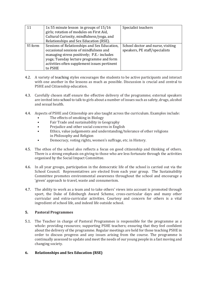| 11      | 1x 55 minute lesson in groups of $15/16$     | Specialist teachers               |
|---------|----------------------------------------------|-----------------------------------|
|         | girls; rotation of modules on First Aid,     |                                   |
|         | Cultural Curiosity, mindfulness/yoga, and    |                                   |
|         | Relationships and Sex Education (RSE).       |                                   |
| VI form | Sessions of Relationships and Sex Education, | School doctor and nurse, visiting |
|         | occasional sessions of mindfulness and       | speakers, PE staff/specialists    |
|         | managing stress positively; P.E.- includes   |                                   |
|         | yoga; Tuesday lecture programme and form     |                                   |
|         | activities often supplement issues pertinent |                                   |
|         | to PSHE                                      |                                   |

- 4.2. A variety of teaching styles encourages the students to be active participants and interact with one another in the lessons as much as possible. Discussion is crucial and central to PSHE and Citizenship education.
- 4.3. Carefully chosen staff ensure the effective delivery of the programme; external speakers are invited into school to talk to girls about a number of issues such as safety, drugs, alcohol and sexual health.
- 4.4. Aspects of PSHE and Citizenship are also taught across the curriculum. Examples include:
	- The effects of smoking in Biology
	- Fair Trade and sustainability in Geography<br>• Prejudice and other social concerns in Engli
	- Prejudice and other social concerns in English<br>• Fibics value judgements and understanding to
	- Ethics, value judgements and understanding/tolerance of other religions in Philosophy and Religion
	- Democracy, voting rights, women's suffrage, etc. in History.
- 4.5. The ethos of the school also reflects a focus on good citizenship and thinking of others. There is a strong emphasis on giving to those who are less fortunate through the activities organised by the Social Impact Committee.
- 4.6. In all year groups, participation in the democratic life of the school is carried out via the School Council. Representatives are elected from each year group. The Sustainability Committee promotes environmental awareness throughout the school and encourage a 'green' approach to travel, waste and consumerism.
- 4.7. The ability to work as a team and to take others' views into account is promoted through sport, the Duke of Edinburgh Award Scheme, cross-curricular days and many other curricular and extra-curricular activities. Courtesy and concern for others is a vital ingredient of school life, and indeed life outside school.

#### **5. Pastoral Programmes**

5.1. The Teacher in charge of Pastoral Programmes is responsible for the programme as a whole: providing resources; supporting PSHE teachers; ensuring that they feel confident about the delivery of the programme. Regular meetings are held for those teaching PSHE in order to discuss progress and any issues arising from the course. The programme is continually assessed to update and meet the needs of our young people in a fast moving and changing society.

#### **6. Relationships and Sex Education (RSE)**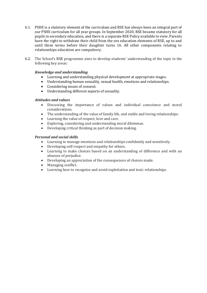- 6.1. PSHE is a statutory element of the curriculum and RSE has always been an integral part of our PSHE curriculum for all year groups. In September 2020, RSE became statutory for all pupils in secondary education, and there is a separate RSE Policy available to view. Parents have the right to withdraw their child from the sex education elements of RSE, up to and until three terms before their daughter turns 16. All other components relating to relationships education are compulsory.
- 6.2. The School's RSE programme aims to develop students' understanding of the topic in the following key areas:

#### *Knowledge and understanding*

- Learning and understanding physical development at appropriate stages.
- Understanding human sexuality, sexual health, emotions and relationships.
- Considering issues of consent.
- Understanding different aspects of sexuality.

#### *Attitudes and values*

- Discussing the importance of values and individual conscience and moral considerations.
- The understanding of the value of family life, and stable and loving relationships.
- Learning the value of respect, love and care.
- Exploring, considering and understanding moral dilemmas.
- Developing critical thinking as part of decision making.

#### *Personal and social skills*

- Learning to manage emotions and relationships confidently and sensitively.
- Developing self-respect and empathy for others.
- Learning to make choices based on an understanding of difference and with an absence of prejudice.
- Developing an appreciation of the consequences of choices made.
- Managing conflict.
- Learning how to recognise and avoid exploitation and toxic relationships.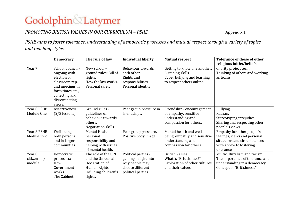## Godolphin Latymer

#### *PROMOTING BRITISH VALUES IN OUR CURRICULUM – PSHE.* Appendix 1

*PSHE aims to foster tolerance, understanding of democratic processes and mutual respect through a variety of topics and teaching styles.* 

|                                            | <b>Democracy</b>                                                                                                                                     | The rule of law                                                                                               | <b>Individual liberty</b>                                                                               | <b>Mutual respect</b>                                                                                         | <b>Tolerance of those of other</b><br>religious faiths/beliefs                                                                       |
|--------------------------------------------|------------------------------------------------------------------------------------------------------------------------------------------------------|---------------------------------------------------------------------------------------------------------------|---------------------------------------------------------------------------------------------------------|---------------------------------------------------------------------------------------------------------------|--------------------------------------------------------------------------------------------------------------------------------------|
| Year 7                                     | School Council-<br>ongoing with<br>election of<br>classroom rep.<br>and meetings in<br>form times etc.,<br>collecting and<br>disseminating<br>views. | New school -<br>ground rules; Bill of<br>rights.<br>How the law works.<br>Personal safety.                    | <b>Behaviour towards</b><br>each other.<br>Rights and<br>responsibilities.<br>Personal identity.        | Getting to know one another.<br>Listening skills.<br>Cyber bullying and learning<br>to respect others online. | Charity project term.<br>Thinking of others and working<br>as teams.                                                                 |
| Year 8 PSHE<br>Module One                  | Assertiveness<br>$(2/3$ lessons).                                                                                                                    | Ground rules -<br>guidelines on<br>behaviour towards<br>others.<br>Negotiation skills.                        | Peer group pressure in<br>friendships.                                                                  | Friendship - encouragement<br>of empathy, sensitive<br>understanding and<br>compassion for others.            | Bullying.<br>Racism.<br>Stereotyping/prejudice.<br>Sharing and respecting other<br>people's views.                                   |
| Year 8 PSHE<br>Module Two                  | Well-being-<br>both personal<br>and in larger<br>communities.                                                                                        | Mental Health -<br>personal<br>responsibility and<br>helping with issues<br>of mental health.                 | Peer group pressure.<br>Positive body image.                                                            | Mental health and well-<br>being, empathy and sensitive<br>understanding and<br>compassion for others.        | Empathy for other people's<br>feelings, views and personal<br>situations and circumstances<br>with a view to fostering<br>tolerance. |
| Year <sub>8</sub><br>citizenship<br>module | Democratic<br>processes:<br>How<br>Government<br>works<br>The Cabinet                                                                                | The role of the U.N<br>and the Universal<br>Declaration of<br>Human Rights<br>including children's<br>rights. | Political parties -<br>gaining insight into<br>why people may<br>choose different<br>political parties. | <b>British Values</b><br>What is "Britishness?"<br><b>Exploration of other cultures</b><br>and their values.  | Multiculturalism and racism.<br>The importance of tolerance and<br>understanding in a democracy.<br>Concept of "Britishness."        |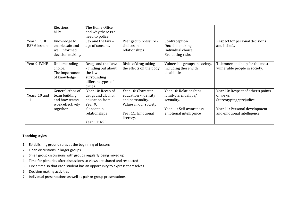|                              | Elections                                                              | The Home Office                                                                                     |                                                                                         |                                                                            |                                                                          |
|------------------------------|------------------------------------------------------------------------|-----------------------------------------------------------------------------------------------------|-----------------------------------------------------------------------------------------|----------------------------------------------------------------------------|--------------------------------------------------------------------------|
|                              | M.Ps.                                                                  | and why there is a                                                                                  |                                                                                         |                                                                            |                                                                          |
|                              |                                                                        | need to police.                                                                                     |                                                                                         |                                                                            |                                                                          |
| Year 9 PSHE<br>RSE 6 lessons | Knowledge to<br>enable safe and<br>well informed<br>decision making.   | Sex and the law -<br>age of consent.                                                                | Peer group pressure -<br>choices in<br>relationships.                                   | Contraception<br>Decision making<br>Individual choice<br>Evaluating risks. | Respect for personal decisions<br>and beliefs.                           |
| Year 9 PSHE                  | Understanding<br>choice.<br>The importance<br>of knowledge.            | Drugs and the Law:<br>- finding out about<br>the law<br>surrounding<br>different types of<br>drugs. | Risks of drug taking -<br>the effects on the body.                                      | Vulnerable groups in society,<br>including those with<br>disabilities.     | Tolerance and help for the most<br>vulnerable people in society.         |
| Years 10 and<br>11           | General ethos of<br>team building<br>and how teams<br>work effectively | Year 10: Recap of<br>drugs and alcohol<br>education from<br>Year 9.                                 | Year 10: Character<br>education - identity<br>and personality.<br>Values in our society | Year 10: Relationships -<br>family/friendships/<br>sexuality.              | Year 10: Respect of other's points<br>of views<br>Stereotyping/prejudice |
|                              | together.                                                              | Consent in<br>relationships<br>Year 11: RSE.                                                        | Year 11: Emotional<br>literacy.                                                         | Year 11: Self-awareness -<br>emotional intelligence.                       | Year 11: Personal development<br>and emotional intelligence.             |

#### **Teaching styles**

- 1. Establishing ground rules at the beginning of lessons
- 2. Open discussions in larger groups
- 3. Small group discussions with groups regularly being mixed up
- 4. Time for plenaries after discussions so views are shared and respected
- 5. Circle time so that each student has an opportunity to express themselves
- 6. Decision making activities
- 7. Individual presentations as well as pair or group presentations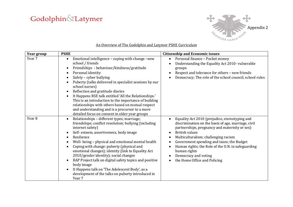### Godolphin&Latymer



#### An Overview of The Godolphin and Latymer PSHE Curriculum

| Year group        | <b>PSHE</b>                                                                                                                                                                                                                                                                                                                                                                                                                                                                                                                                                                                           | <b>Citizenship and Economic issues</b>                                                                                                                                                                                                                                                                                                                                                                                                    |
|-------------------|-------------------------------------------------------------------------------------------------------------------------------------------------------------------------------------------------------------------------------------------------------------------------------------------------------------------------------------------------------------------------------------------------------------------------------------------------------------------------------------------------------------------------------------------------------------------------------------------------------|-------------------------------------------------------------------------------------------------------------------------------------------------------------------------------------------------------------------------------------------------------------------------------------------------------------------------------------------------------------------------------------------------------------------------------------------|
| Year <sub>7</sub> | Emotional intelligence - coping with change -new<br>$\bullet$<br>school / friends<br>Friendships - behaviour/kindness/gratitude<br>Personal identity<br>$\bullet$<br>Safety - cyber bullying<br>Puberty (talks delivered in specialist sessions by our<br>school nurses)<br>Reflection and gratitude diaries<br>It Happens RSE talk entitled 'All the Relationships.'<br>This is an introduction to the importance of building<br>relationships with others based on mutual respect<br>and understanding and is a precursor to a more<br>detailed focus on consent in older year groups               | Personal finance - Pocket money<br>$\bullet$<br>Understanding the Equality Act 2010-vulnerable<br>groups<br>Respect and tolerance for others - new friends<br>$\bullet$<br>Democracy; The role of the school council; school rules                                                                                                                                                                                                        |
| Year <sub>8</sub> | Relationships - different types; marriage;<br>friendships; conflict resolution; bullying (including<br>internet safety)<br>Self- esteem, assertiveness, body image<br>$\bullet$<br>Resilience<br>$\bullet$<br>Well- being - physical and emotional mental health<br>Coping with change: puberty (physical and<br>emotional changes); identity (link to Equality Act<br>2010/gender identity); social changes<br>RAP Project talk on digital safety topics and positive<br>body image<br>It Happens talk on 'The Adolescent Body', as a<br>development of the talks on puberty introduced in<br>Year 7 | Equality Act 2010 (prejudice, stereotyping and<br>discrimination on the basis of age, marriage, civil<br>partnerships, pregnancy and maternity or sex)<br><b>British values</b><br>$\bullet$<br>Multiculturalism; challenging racism<br>$\bullet$<br>Government spending and taxes; the Budget<br>$\bullet$<br>Human rights; the Role of the U.N. in safeguarding<br>human rights<br>Democracy and voting<br>the Home Office and Policing |